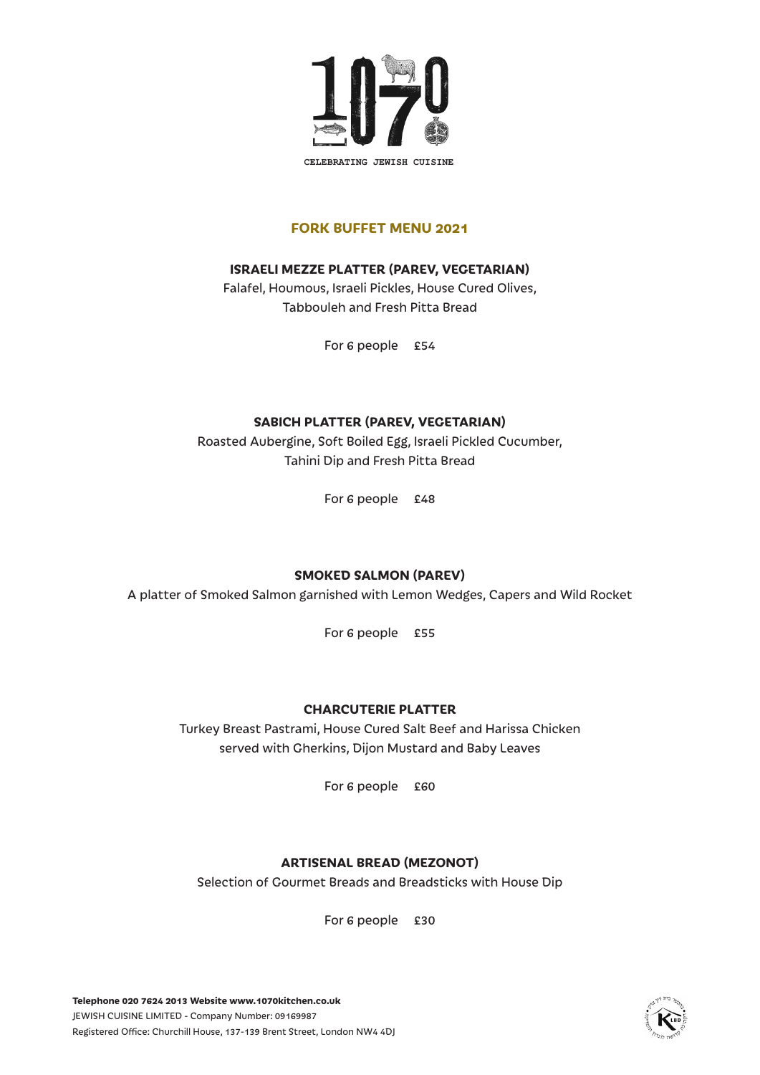

#### **FORK BUFFET MENU 2021**

### **ISRAELI MEZZE PLATTER (PAREV, VEGETARIAN)**

Falafel, Houmous, Israeli Pickles, House Cured Olives, Tabbouleh and Fresh Pitta Bread

For 6 people £54

### **SABICH PLATTER (PAREV, VEGETARIAN)**

Roasted Aubergine, Soft Boiled Egg, Israeli Pickled Cucumber, Tahini Dip and Fresh Pitta Bread

For 6 people £48

### **SMOKED SALMON (PAREV)**

A platter of Smoked Salmon garnished with Lemon Wedges, Capers and Wild Rocket

For 6 people £55

### **CHARCUTERIE PLATTER**

Turkey Breast Pastrami, House Cured Salt Beef and Harissa Chicken served with Gherkins, Dijon Mustard and Baby Leaves

For 6 people £60

## **ARTISENAL BREAD (MEZONOT)**

Selection of Gourmet Breads and Breadsticks with House Dip

For 6 people £30

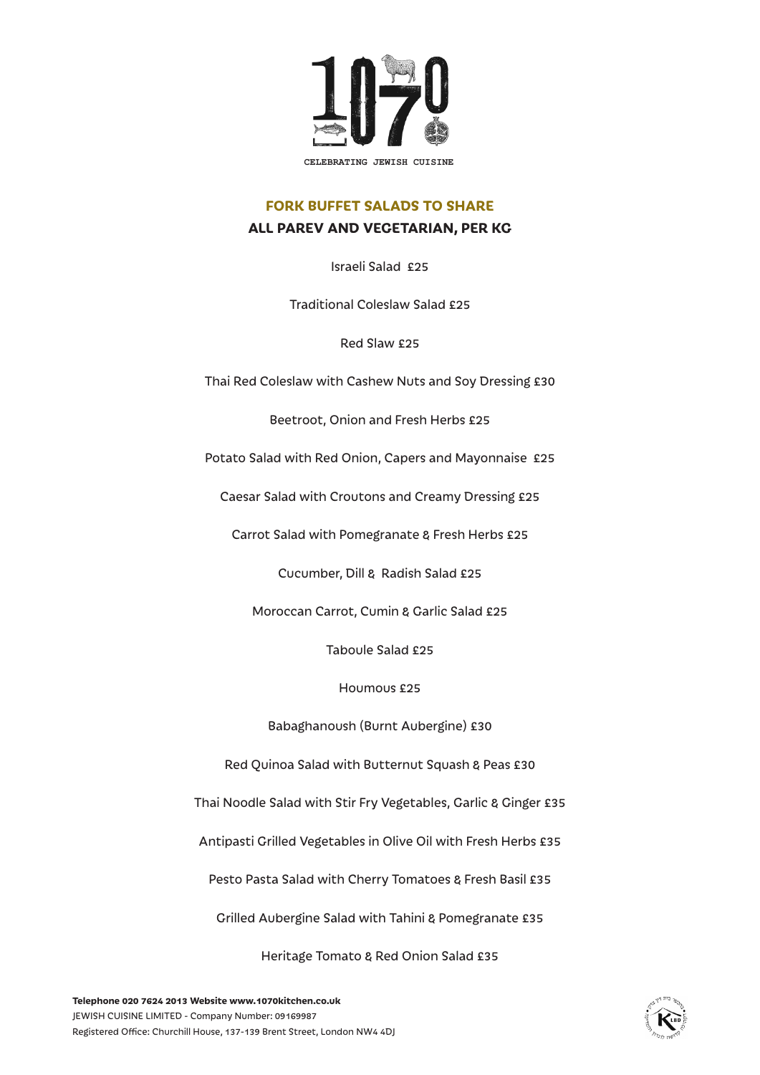

### **FORK BUFFET SALADS TO SHARE ALL PAREV AND VEGETARIAN, PER KG**

Israeli Salad £25

Traditional Coleslaw Salad £25

Red Slaw £25

Thai Red Coleslaw with Cashew Nuts and Soy Dressing £30

Beetroot, Onion and Fresh Herbs £25

Potato Salad with Red Onion, Capers and Mayonnaise £25

Caesar Salad with Croutons and Creamy Dressing £25

Carrot Salad with Pomegranate & Fresh Herbs £25

Cucumber, Dill & Radish Salad £25

Moroccan Carrot, Cumin & Garlic Salad £25

Taboule Salad £25

Houmous £25

Babaghanoush (Burnt Aubergine) £30

Red Quinoa Salad with Butternut Squash & Peas £30

Thai Noodle Salad with Stir Fry Vegetables, Garlic & Ginger £35

Antipasti Grilled Vegetables in Olive Oil with Fresh Herbs £35

Pesto Pasta Salad with Cherry Tomatoes & Fresh Basil £35

Grilled Aubergine Salad with Tahini & Pomegranate £35

Heritage Tomato & Red Onion Salad £35